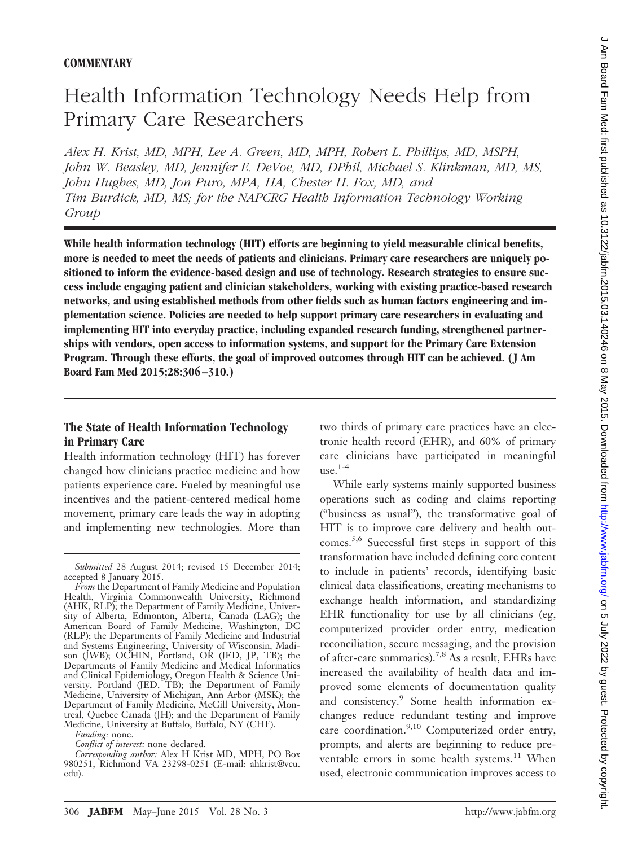### **COMMENTARY**

# Health Information Technology Needs Help from Primary Care Researchers

*Alex H. Krist, MD, MPH, Lee A. Green, MD, MPH, Robert L. Phillips, MD, MSPH, John W. Beasley, MD, Jennifer E. DeVoe, MD, DPhil, Michael S. Klinkman, MD, MS, John Hughes, MD, Jon Puro, MPA, HA, Chester H. Fox, MD, and Tim Burdick, MD, MS; for the NAPCRG Health Information Technology Working Group*

**While health information technology (HIT) efforts are beginning to yield measurable clinical benefits, more is needed to meet the needs of patients and clinicians. Primary care researchers are uniquely positioned to inform the evidence-based design and use of technology. Research strategies to ensure success include engaging patient and clinician stakeholders, working with existing practice-based research networks, and using established methods from other fields such as human factors engineering and implementation science. Policies are needed to help support primary care researchers in evaluating and implementing HIT into everyday practice, including expanded research funding, strengthened partnerships with vendors, open access to information systems, and support for the Primary Care Extension Program. Through these efforts, the goal of improved outcomes through HIT can be achieved. ( J Am Board Fam Med 2015;28:306 –310.)**

# **The State of Health Information Technology in Primary Care**

Health information technology (HIT) has forever changed how clinicians practice medicine and how patients experience care. Fueled by meaningful use incentives and the patient-centered medical home movement, primary care leads the way in adopting and implementing new technologies. More than

two thirds of primary care practices have an electronic health record (EHR), and 60% of primary care clinicians have participated in meaningful  $use.<sup>1-4</sup>$ 

While early systems mainly supported business operations such as coding and claims reporting ("business as usual"), the transformative goal of HIT is to improve care delivery and health outcomes.5,6 Successful first steps in support of this transformation have included defining core content to include in patients' records, identifying basic clinical data classifications, creating mechanisms to exchange health information, and standardizing EHR functionality for use by all clinicians (eg, computerized provider order entry, medication reconciliation, secure messaging, and the provision of after-care summaries).7,8 As a result, EHRs have increased the availability of health data and improved some elements of documentation quality and consistency.<sup>9</sup> Some health information exchanges reduce redundant testing and improve care coordination.<sup>9,10</sup> Computerized order entry, prompts, and alerts are beginning to reduce preventable errors in some health systems.<sup>11</sup> When used, electronic communication improves access to

*Submitted* 28 August 2014; revised 15 December 2014; accepted 8 January 2015.

*From* the Department of Family Medicine and Population Health, Virginia Commonwealth University, Richmond (AHK, RLP); the Department of Family Medicine, University of Alberta, Edmonton, Alberta, Canada (LAG); the American Board of Family Medicine, Washington, DC (RLP); the Departments of Family Medicine and Industrial and Systems Engineering, University of Wisconsin, Madison (JWB); OCHIN, Portland, OR (JED, JP, TB); the Departments of Family Medicine and Medical Informatics and Clinical Epidemiology, Oregon Health & Science University, Portland (JED, TB); the Department of Family Medicine, University of Michigan, Ann Arbor (MSK); the Department of Family Medicine, McGill University, Montreal, Quebec Canada (JH); and the Department of Family Medicine, University at Buffalo, Buffalo, NY (CHF).

*Funding:* none.

*Conflict of interest:* none declared.

*Corresponding author:* Alex H Krist MD, MPH, PO Box 980251, Richmond VA 23298-0251 [\(E-mail: ahkrist@vcu.](mailto:ahkrist@vcu.edu) [edu\)](mailto:ahkrist@vcu.edu).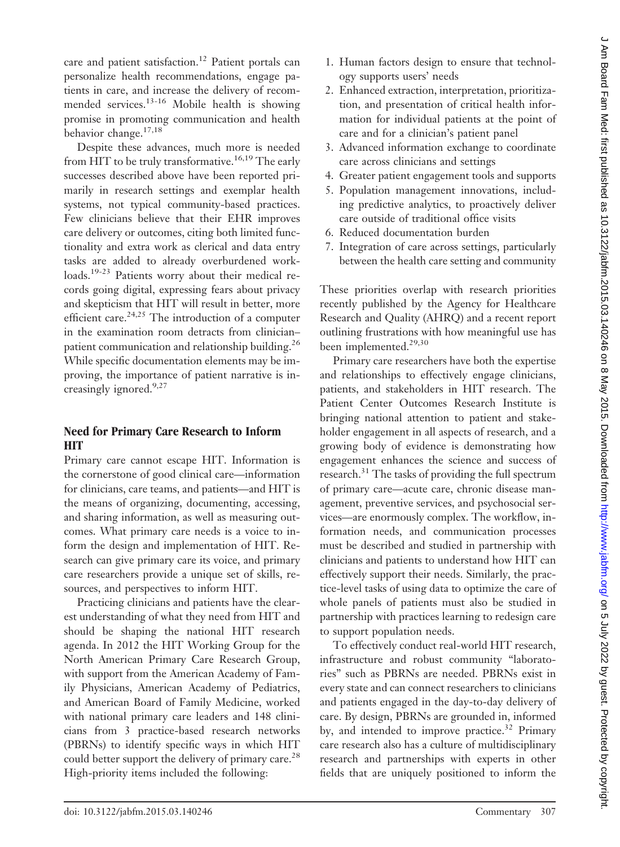care and patient satisfaction.<sup>12</sup> Patient portals can personalize health recommendations, engage patients in care, and increase the delivery of recommended services.13-16 Mobile health is showing promise in promoting communication and health behavior change.17,18

Despite these advances, much more is needed from HIT to be truly transformative.<sup>16,19</sup> The early successes described above have been reported primarily in research settings and exemplar health systems, not typical community-based practices. Few clinicians believe that their EHR improves care delivery or outcomes, citing both limited functionality and extra work as clerical and data entry tasks are added to already overburdened workloads.<sup>19-23</sup> Patients worry about their medical records going digital, expressing fears about privacy and skepticism that HIT will result in better, more efficient care.<sup>24,25</sup> The introduction of a computer in the examination room detracts from clinician– patient communication and relationship building.<sup>26</sup> While specific documentation elements may be improving, the importance of patient narrative is increasingly ignored.<sup>9,27</sup>

#### **Need for Primary Care Research to Inform HIT**

Primary care cannot escape HIT. Information is the cornerstone of good clinical care—information for clinicians, care teams, and patients—and HIT is the means of organizing, documenting, accessing, and sharing information, as well as measuring outcomes. What primary care needs is a voice to inform the design and implementation of HIT. Research can give primary care its voice, and primary care researchers provide a unique set of skills, resources, and perspectives to inform HIT.

Practicing clinicians and patients have the clearest understanding of what they need from HIT and should be shaping the national HIT research agenda. In 2012 the HIT Working Group for the North American Primary Care Research Group, with support from the American Academy of Family Physicians, American Academy of Pediatrics, and American Board of Family Medicine, worked with national primary care leaders and 148 clinicians from 3 practice-based research networks (PBRNs) to identify specific ways in which HIT could better support the delivery of primary care.<sup>28</sup> High-priority items included the following:

- 1. Human factors design to ensure that technology supports users' needs
- 2. Enhanced extraction, interpretation, prioritization, and presentation of critical health information for individual patients at the point of care and for a clinician's patient panel
- 3. Advanced information exchange to coordinate care across clinicians and settings
- 4. Greater patient engagement tools and supports
- 5. Population management innovations, including predictive analytics, to proactively deliver care outside of traditional office visits
- 6. Reduced documentation burden
- 7. Integration of care across settings, particularly between the health care setting and community

These priorities overlap with research priorities recently published by the Agency for Healthcare Research and Quality (AHRQ) and a recent report outlining frustrations with how meaningful use has been implemented.<sup>29,30</sup>

Primary care researchers have both the expertise and relationships to effectively engage clinicians, patients, and stakeholders in HIT research. The Patient Center Outcomes Research Institute is bringing national attention to patient and stakeholder engagement in all aspects of research, and a growing body of evidence is demonstrating how engagement enhances the science and success of research.<sup>31</sup> The tasks of providing the full spectrum of primary care—acute care, chronic disease management, preventive services, and psychosocial services—are enormously complex. The workflow, information needs, and communication processes must be described and studied in partnership with clinicians and patients to understand how HIT can effectively support their needs. Similarly, the practice-level tasks of using data to optimize the care of whole panels of patients must also be studied in partnership with practices learning to redesign care to support population needs.

To effectively conduct real-world HIT research, infrastructure and robust community "laboratories" such as PBRNs are needed. PBRNs exist in every state and can connect researchers to clinicians and patients engaged in the day-to-day delivery of care. By design, PBRNs are grounded in, informed by, and intended to improve practice.<sup>32</sup> Primary care research also has a culture of multidisciplinary research and partnerships with experts in other fields that are uniquely positioned to inform the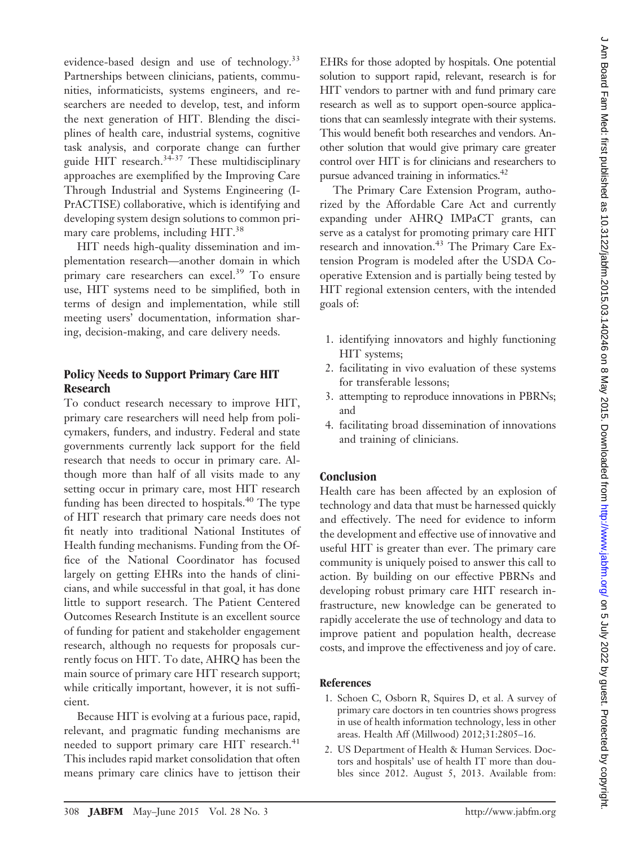evidence-based design and use of technology.<sup>33</sup> Partnerships between clinicians, patients, communities, informaticists, systems engineers, and researchers are needed to develop, test, and inform the next generation of HIT. Blending the disciplines of health care, industrial systems, cognitive task analysis, and corporate change can further guide HIT research.<sup>34-37</sup> These multidisciplinary approaches are exemplified by the Improving Care Through Industrial and Systems Engineering (I-PrACTISE) collaborative, which is identifying and developing system design solutions to common primary care problems, including HIT.<sup>38</sup>

HIT needs high-quality dissemination and implementation research—another domain in which primary care researchers can excel.<sup>39</sup> To ensure use, HIT systems need to be simplified, both in terms of design and implementation, while still meeting users' documentation, information sharing, decision-making, and care delivery needs.

# **Policy Needs to Support Primary Care HIT Research**

To conduct research necessary to improve HIT, primary care researchers will need help from policymakers, funders, and industry. Federal and state governments currently lack support for the field research that needs to occur in primary care. Although more than half of all visits made to any setting occur in primary care, most HIT research funding has been directed to hospitals.<sup>40</sup> The type of HIT research that primary care needs does not fit neatly into traditional National Institutes of Health funding mechanisms. Funding from the Office of the National Coordinator has focused largely on getting EHRs into the hands of clinicians, and while successful in that goal, it has done little to support research. The Patient Centered Outcomes Research Institute is an excellent source of funding for patient and stakeholder engagement research, although no requests for proposals currently focus on HIT. To date, AHRQ has been the main source of primary care HIT research support; while critically important, however, it is not sufficient.

Because HIT is evolving at a furious pace, rapid, relevant, and pragmatic funding mechanisms are needed to support primary care HIT research.<sup>41</sup> This includes rapid market consolidation that often means primary care clinics have to jettison their EHRs for those adopted by hospitals. One potential solution to support rapid, relevant, research is for HIT vendors to partner with and fund primary care research as well as to support open-source applications that can seamlessly integrate with their systems. This would benefit both researches and vendors. Another solution that would give primary care greater control over HIT is for clinicians and researchers to pursue advanced training in informatics.<sup>42</sup>

The Primary Care Extension Program, authorized by the Affordable Care Act and currently expanding under AHRQ IMPaCT grants, can serve as a catalyst for promoting primary care HIT research and innovation.<sup>43</sup> The Primary Care Extension Program is modeled after the USDA Cooperative Extension and is partially being tested by HIT regional extension centers, with the intended goals of:

- 1. identifying innovators and highly functioning HIT systems;
- 2. facilitating in vivo evaluation of these systems for transferable lessons;
- 3. attempting to reproduce innovations in PBRNs; and
- 4. facilitating broad dissemination of innovations and training of clinicians.

# **Conclusion**

Health care has been affected by an explosion of technology and data that must be harnessed quickly and effectively. The need for evidence to inform the development and effective use of innovative and useful HIT is greater than ever. The primary care community is uniquely poised to answer this call to action. By building on our effective PBRNs and developing robust primary care HIT research infrastructure, new knowledge can be generated to rapidly accelerate the use of technology and data to improve patient and population health, decrease costs, and improve the effectiveness and joy of care.

#### **References**

- 1. Schoen C, Osborn R, Squires D, et al. A survey of primary care doctors in ten countries shows progress in use of health information technology, less in other areas. Health Aff (Millwood) 2012;31:2805–16.
- 2. US Department of Health & Human Services. Doctors and hospitals' use of health IT more than doubles since 2012. August 5, 2013. Available from: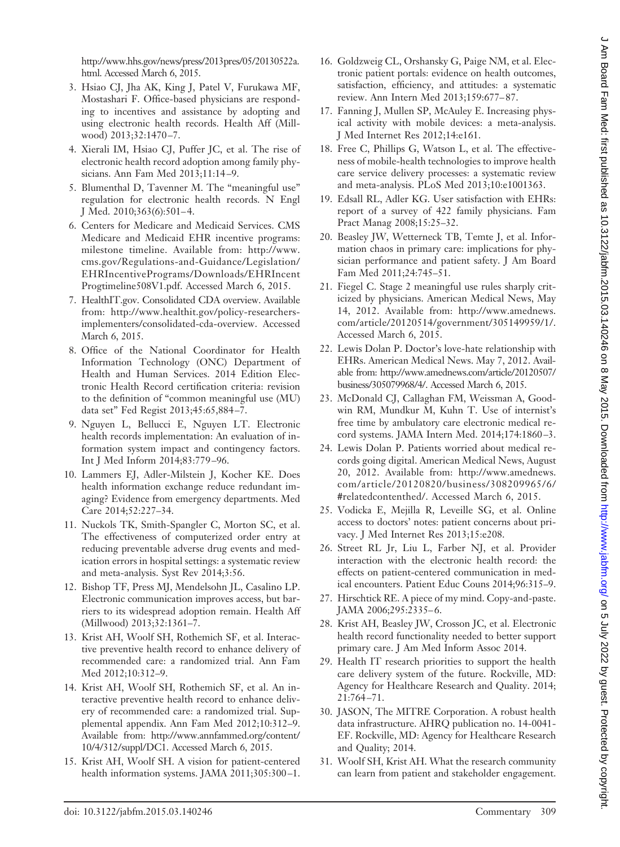[http://www.hhs.gov/news/press/2013pres/05/20130522a.](http://www.hhs.gov/news/press/2013pres/05/20130522a.html) [html.](http://www.hhs.gov/news/press/2013pres/05/20130522a.html) Accessed March 6, 2015.

- 3. Hsiao CJ, Jha AK, King J, Patel V, Furukawa MF, Mostashari F. Office-based physicians are responding to incentives and assistance by adopting and using electronic health records. Health Aff (Millwood) 2013;32:1470-7.
- 4. Xierali IM, Hsiao CJ, Puffer JC, et al. The rise of electronic health record adoption among family physicians. Ann Fam Med 2013;11:14 –9.
- 5. Blumenthal D, Tavenner M. The "meaningful use" regulation for electronic health records. N Engl J Med. 2010;363(6):501-4.
- 6. Centers for Medicare and Medicaid Services. CMS Medicare and Medicaid EHR incentive programs: milestone timeline. Available from: [http://www.](http://www.cms.gov/Regulations-and-Guidance/Legislation/EHRIncentivePrograms/Downloads/EHRIncentProgtimeline508V1.pdf) [cms.gov/Regulations-and-Guidance/Legislation/](http://www.cms.gov/Regulations-and-Guidance/Legislation/EHRIncentivePrograms/Downloads/EHRIncentProgtimeline508V1.pdf) [EHRIncentivePrograms/Downloads/EHRIncent](http://www.cms.gov/Regulations-and-Guidance/Legislation/EHRIncentivePrograms/Downloads/EHRIncentProgtimeline508V1.pdf) [Progtimeline508V1.pdf.](http://www.cms.gov/Regulations-and-Guidance/Legislation/EHRIncentivePrograms/Downloads/EHRIncentProgtimeline508V1.pdf) Accessed March 6, 2015.
- 7. HealthIT.gov. Consolidated CDA overview. Available from: [http://www.healthit.gov/policy-researchers](http://www.healthit.gov/policy-researchers-implementers/consolidated-cda-overview)[implementers/consolidated-cda-overview.](http://www.healthit.gov/policy-researchers-implementers/consolidated-cda-overview) Accessed March 6, 2015.
- 8. Office of the National Coordinator for Health Information Technology (ONC) Department of Health and Human Services. 2014 Edition Electronic Health Record certification criteria: revision to the definition of "common meaningful use (MU) data set" Fed Regist 2013;45:65,884 –7.
- 9. Nguyen L, Bellucci E, Nguyen LT. Electronic health records implementation: An evaluation of information system impact and contingency factors. Int J Med Inform 2014;83:779 –96.
- 10. Lammers EJ, Adler-Milstein J, Kocher KE. Does health information exchange reduce redundant imaging? Evidence from emergency departments. Med Care 2014;52:227–34.
- 11. Nuckols TK, Smith-Spangler C, Morton SC, et al. The effectiveness of computerized order entry at reducing preventable adverse drug events and medication errors in hospital settings: a systematic review and meta-analysis. Syst Rev 2014;3:56.
- 12. Bishop TF, Press MJ, Mendelsohn JL, Casalino LP. Electronic communication improves access, but barriers to its widespread adoption remain. Health Aff (Millwood) 2013;32:1361–7.
- 13. Krist AH, Woolf SH, Rothemich SF, et al. Interactive preventive health record to enhance delivery of recommended care: a randomized trial. Ann Fam Med 2012;10:312–9.
- 14. Krist AH, Woolf SH, Rothemich SF, et al. An interactive preventive health record to enhance delivery of recommended care: a randomized trial. Supplemental appendix. Ann Fam Med 2012;10:312–9. Available from: [http://www.annfammed.org/content/](http://www.annfammed.org/content/10/4/312/suppl/DC1) [10/4/312/suppl/DC1.](http://www.annfammed.org/content/10/4/312/suppl/DC1) Accessed March 6, 2015.
- 15. Krist AH, Woolf SH. A vision for patient-centered health information systems. JAMA 2011;305:300-1.
- 16. Goldzweig CL, Orshansky G, Paige NM, et al. Electronic patient portals: evidence on health outcomes, satisfaction, efficiency, and attitudes: a systematic review. Ann Intern Med 2013;159:677– 87.
- 17. Fanning J, Mullen SP, McAuley E. Increasing physical activity with mobile devices: a meta-analysis. J Med Internet Res 2012;14:e161.
- 18. Free C, Phillips G, Watson L, et al. The effectiveness of mobile-health technologies to improve health care service delivery processes: a systematic review and meta-analysis. PLoS Med 2013;10:e1001363.
- 19. Edsall RL, Adler KG. User satisfaction with EHRs: report of a survey of 422 family physicians. Fam Pract Manag 2008;15:25–32.
- 20. Beasley JW, Wetterneck TB, Temte J, et al. Information chaos in primary care: implications for physician performance and patient safety. J Am Board Fam Med 2011;24:745–51.
- 21. Fiegel C. Stage 2 meaningful use rules sharply criticized by physicians. American Medical News, May 14, 2012. Available from: [http://www.amednews.](http://www.amednews.com/article/20120514/government/305149959/1/) [com/article/20120514/government/305149959/1/.](http://www.amednews.com/article/20120514/government/305149959/1/) Accessed March 6, 2015.
- 22. Lewis Dolan P. Doctor's love-hate relationship with EHRs. American Medical News. May 7, 2012. Available from: [http://www.amednews.com/article/20120507/](http://www.amednews.com/article/20120507/business/305079968/4/) [business/305079968/4/.](http://www.amednews.com/article/20120507/business/305079968/4/) Accessed March 6, 2015.
- 23. McDonald CJ, Callaghan FM, Weissman A, Goodwin RM, Mundkur M, Kuhn T. Use of internist's free time by ambulatory care electronic medical record systems. JAMA Intern Med. 2014;174:1860 –3.
- 24. Lewis Dolan P. Patients worried about medical records going digital. American Medical News, August 20, 2012. Available from: [http://www.amednews.](http://www.amednews.com/article/20120820/business/308209965/6/#relatedcontenthed/) [com/article/20120820/business/308209965/6/](http://www.amednews.com/article/20120820/business/308209965/6/#relatedcontenthed/) [#relatedcontenthed/.](http://www.amednews.com/article/20120820/business/308209965/6/#relatedcontenthed/) Accessed March 6, 2015.
- 25. Vodicka E, Mejilla R, Leveille SG, et al. Online access to doctors' notes: patient concerns about privacy. J Med Internet Res 2013;15:e208.
- 26. Street RL Jr, Liu L, Farber NJ, et al. Provider interaction with the electronic health record: the effects on patient-centered communication in medical encounters. Patient Educ Couns 2014;96:315–9.
- 27. Hirschtick RE. A piece of my mind. Copy-and-paste. JAMA 2006;295:2335-6.
- 28. Krist AH, Beasley JW, Crosson JC, et al. Electronic health record functionality needed to better support primary care. J Am Med Inform Assoc 2014.
- 29. Health IT research priorities to support the health care delivery system of the future. Rockville, MD: Agency for Healthcare Research and Quality. 2014; 21:764 –71.
- 30. JASON, The MITRE Corporation. A robust health data infrastructure. AHRQ publication no. 14-0041- EF. Rockville, MD: Agency for Healthcare Research and Quality; 2014.
- 31. Woolf SH, Krist AH. What the research community can learn from patient and stakeholder engagement.